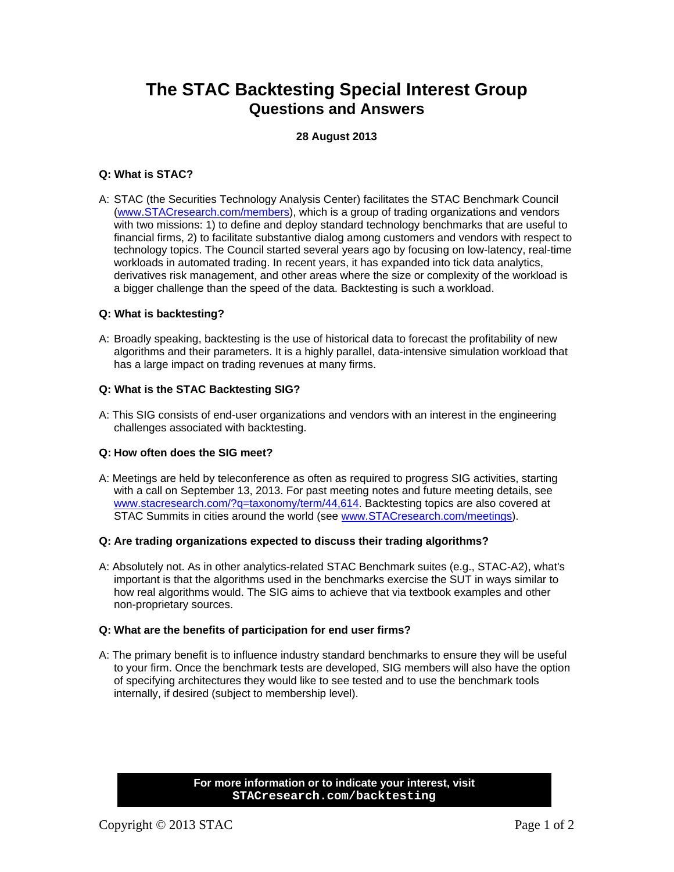# **The STAC Backtesting Special Interest Group Questions and Answers**

# **28 August 2013**

# **Q: What is STAC?**

A: STAC (the Securities Technology Analysis Center) facilitates the STAC Benchmark Council ([www.STACresearch.com/members\)](http://www.stacresearch.com/members), which is a group of trading organizations and vendors with two missions: 1) to define and deploy standard technology benchmarks that are useful to financial firms, 2) to facilitate substantive dialog among customers and vendors with respect to technology topics. The Council started several years ago by focusing on low-latency, real-time workloads in automated trading. In recent years, it has expanded into tick data analytics, derivatives risk management, and other areas where the size or complexity of the workload is a bigger challenge than the speed of the data. Backtesting is such a workload.

## **Q: What is backtesting?**

A: Broadly speaking, backtesting is the use of historical data to forecast the profitability of new algorithms and their parameters. It is a highly parallel, data-intensive simulation workload that has a large impact on trading revenues at many firms.

## **Q: What is the STAC Backtesting SIG?**

A: This SIG consists of end-user organizations and vendors with an interest in the engineering challenges associated with backtesting.

# **Q: How often does the SIG meet?**

A: Meetings are held by teleconference as often as required to progress SIG activities, starting with a call on September 13, 2013. For past meeting notes and future meeting details, see [www.stacresearch.com/?q=taxonomy/term/44,614](http://www.stacresearch.com/?q=taxonomy/term/44,614). Backtesting topics are also covered at STAC Summits in cities around the world (see [www.STACresearch.com/meetings](http://www.stacresearch.com/meetings)).

#### **Q: Are trading organizations expected to discuss their trading algorithms?**

A: Absolutely not. As in other analytics-related STAC Benchmark suites (e.g., STAC-A2), what's important is that the algorithms used in the benchmarks exercise the SUT in ways similar to how real algorithms would. The SIG aims to achieve that via textbook examples and other non-proprietary sources.

#### **Q: What are the benefits of participation for end user firms?**

A: The primary benefit is to influence industry standard benchmarks to ensure they will be useful to your firm. Once the benchmark tests are developed, SIG members will also have the option of specifying architectures they would like to see tested and to use the benchmark tools internally, if desired (subject to membership level).

> **For more information or to indicate your interest, visit STACresearch.com/backtesting**